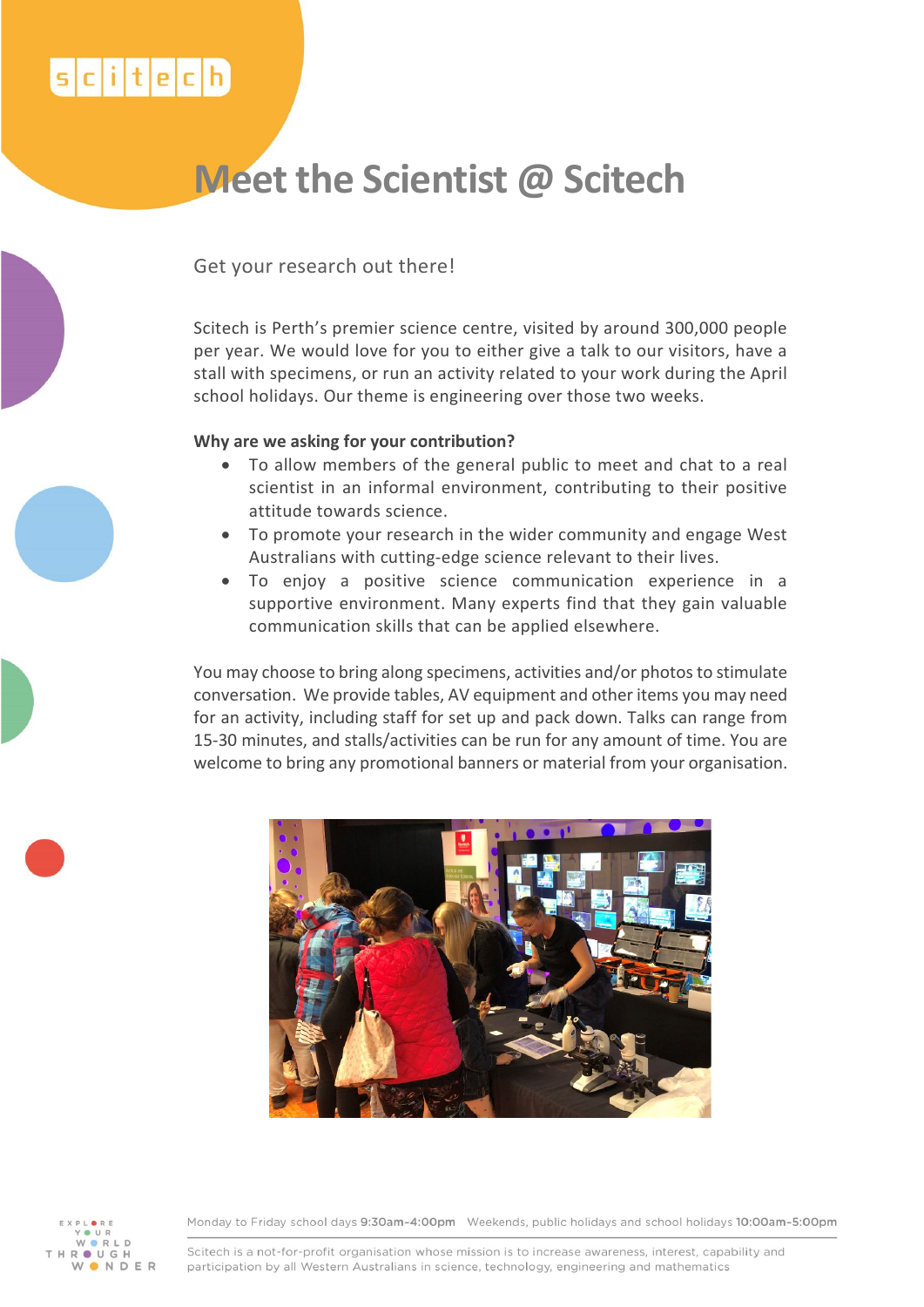## $s$ <sub>c</sub>itech

# **Meet the Scientist @ Scitech**

Get your research out there!

Scitech is Perth's premier science centre, visited by around 300,000 people per year. We would love for you to either give a talk to our visitors, have a stall with specimens, or run an activity related to your work during the April school holidays. Our theme is engineering over those two weeks.

### **Why are we asking for your contribution?**

- To allow members of the general public to meet and chat to a real scientist in an informal environment, contributing to their positive attitude towards science.
- To promote your research in the wider community and engage West Australians with cutting-edge science relevant to their lives.
- To enjoy a positive science communication experience in a supportive environment. Many experts find that they gain valuable communication skills that can be applied elsewhere.

You may choose to bring along specimens, activities and/or photos to stimulate conversation. We provide tables, AV equipment and other items you may need for an activity, including staff for set up and pack down. Talks can range from 15-30 minutes, and stalls/activities can be run for any amount of time. You are welcome to bring any promotional banners or material from your organisation.





Monday to Friday school days 9:30am-4:00pm Weekends, public holidays and school holidays 10:00am-5:00pm